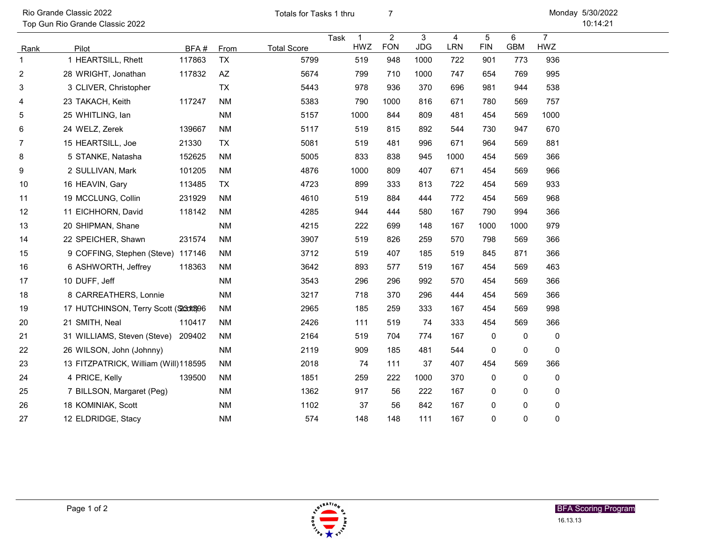Rio Grande Classic 2022 **5/30/2020 12:30 Totals for Tasks 1 thru** T Totals for Tasks 1 thru

Top Gun Rio Grande Classic 2022

10:14:21 Monday 5/30/2022

|                |                                        |        |           |                    | Task | $\overline{1}$ | $\overline{2}$ | 3          | $\overline{4}$ | 5           | 6          | $\overline{7}$ |
|----------------|----------------------------------------|--------|-----------|--------------------|------|----------------|----------------|------------|----------------|-------------|------------|----------------|
| Rank           | Pilot                                  | BFA#   | From      | <b>Total Score</b> |      | HWZ            | <b>FON</b>     | <b>JDG</b> | LRN            | <b>FIN</b>  | <b>GBM</b> | HWZ            |
| 1              | 1 HEARTSILL, Rhett                     | 117863 | <b>TX</b> | 5799               |      | 519            | 948            | 1000       | 722            | 901         | 773        | 936            |
| $\overline{c}$ | 28 WRIGHT, Jonathan                    | 117832 | AZ        | 5674               |      | 799            | 710            | 1000       | 747            | 654         | 769        | 995            |
| 3              | 3 CLIVER, Christopher                  |        | <b>TX</b> | 5443               |      | 978            | 936            | 370        | 696            | 981         | 944        | 538            |
| 4              | 23 TAKACH, Keith                       | 117247 | <b>NM</b> | 5383               |      | 790            | 1000           | 816        | 671            | 780         | 569        | 757            |
| 5              | 25 WHITLING, lan                       |        | <b>NM</b> | 5157               |      | 1000           | 844            | 809        | 481            | 454         | 569        | 1000           |
| 6              | 24 WELZ, Zerek                         | 139667 | <b>NM</b> | 5117               |      | 519            | 815            | 892        | 544            | 730         | 947        | 670            |
| 7              | 15 HEARTSILL, Joe                      | 21330  | TX        | 5081               |      | 519            | 481            | 996        | 671            | 964         | 569        | 881            |
| 8              | 5 STANKE, Natasha                      | 152625 | <b>NM</b> | 5005               |      | 833            | 838            | 945        | 1000           | 454         | 569        | 366            |
| 9              | 2 SULLIVAN, Mark                       | 101205 | <b>NM</b> | 4876               |      | 1000           | 809            | 407        | 671            | 454         | 569        | 966            |
| 10             | 16 HEAVIN, Gary                        | 113485 | TX        | 4723               |      | 899            | 333            | 813        | 722            | 454         | 569        | 933            |
| 11             | 19 MCCLUNG, Collin                     | 231929 | <b>NM</b> | 4610               |      | 519            | 884            | 444        | 772            | 454         | 569        | 968            |
| 12             | 11 EICHHORN, David                     | 118142 | <b>NM</b> | 4285               |      | 944            | 444            | 580        | 167            | 790         | 994        | 366            |
| 13             | 20 SHIPMAN, Shane                      |        | <b>NM</b> | 4215               |      | 222            | 699            | 148        | 167            | 1000        | 1000       | 979            |
| 14             | 22 SPEICHER, Shawn                     | 231574 | <b>NM</b> | 3907               |      | 519            | 826            | 259        | 570            | 798         | 569        | 366            |
| 15             | 9 COFFING, Stephen (Steve) 117146      |        | <b>NM</b> | 3712               |      | 519            | 407            | 185        | 519            | 845         | 871        | 366            |
| 16             | 6 ASHWORTH, Jeffrey                    | 118363 | <b>NM</b> | 3642               |      | 893            | 577            | 519        | 167            | 454         | 569        | 463            |
| 17             | 10 DUFF, Jeff                          |        | <b>NM</b> | 3543               |      | 296            | 296            | 992        | 570            | 454         | 569        | 366            |
| 18             | 8 CARREATHERS, Lonnie                  |        | <b>NM</b> | 3217               |      | 718            | 370            | 296        | 444            | 454         | 569        | 366            |
| 19             | 17 HUTCHINSON, Terry Scott (S230ft8)96 |        | <b>NM</b> | 2965               |      | 185            | 259            | 333        | 167            | 454         | 569        | 998            |
| 20             | 21 SMITH, Neal                         | 110417 | <b>NM</b> | 2426               |      | 111            | 519            | 74         | 333            | 454         | 569        | 366            |
| 21             | 31 WILLIAMS, Steven (Steve)            | 209402 | <b>NM</b> | 2164               |      | 519            | 704            | 774        | 167            | 0           | 0          | 0              |
| 22             | 26 WILSON, John (Johnny)               |        | <b>NM</b> | 2119               |      | 909            | 185            | 481        | 544            | 0           | 0          | 0              |
| 23             | 13 FITZPATRICK, William (Will)118595   |        | <b>NM</b> | 2018               |      | 74             | 111            | 37         | 407            | 454         | 569        | 366            |
| 24             | 4 PRICE, Kelly                         | 139500 | <b>NM</b> | 1851               |      | 259            | 222            | 1000       | 370            | 0           | 0          | 0              |
| 25             | 7 BILLSON, Margaret (Peg)              |        | <b>NM</b> | 1362               |      | 917            | 56             | 222        | 167            | 0           | 0          | 0              |
| 26             | 18 KOMINIAK, Scott                     |        | <b>NM</b> | 1102               |      | 37             | 56             | 842        | 167            | $\mathbf 0$ | $\Omega$   | 0              |
| 27             | 12 ELDRIDGE, Stacy                     |        | <b>NM</b> | 574                |      | 148            | 148            | 111        | 167            | $\mathbf 0$ | 0          | 0              |